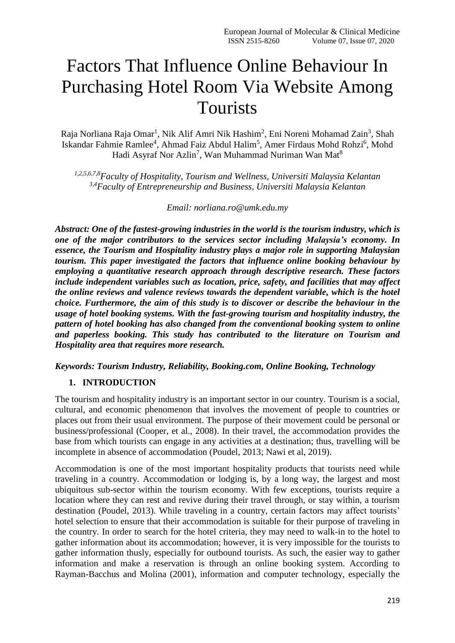# Factors That Influence Online Behaviour In Purchasing Hotel Room Via Website Among Tourists

Raja Norliana Raja Omar<sup>1</sup>, Nik Alif Amri Nik Hashim<sup>2</sup>, Eni Noreni Mohamad Zain<sup>3</sup>, Shah Iskandar Fahmie Ramlee<sup>4</sup>, Ahmad Faiz Abdul Halim<sup>5</sup>, Amer Firdaus Mohd Rohzi<sup>6</sup>, Mohd Hadi Asyraf Nor Azlin<sup>7</sup>, Wan Muhammad Nuriman Wan Mat<sup>8</sup>

*1,2,5,6,7,8Faculty of Hospitality, Tourism and Wellness, Universiti Malaysia Kelantan 3,4Faculty of Entrepreneurship and Business, Universiti Malaysia Kelantan*

*Email: norliana.ro@umk.edu.my*

*Abstract: One of the fastest-growing industries in the world is the tourism industry, which is one of the major contributors to the services sector including Malaysia's economy. In essence, the Tourism and Hospitality industry plays a major role in supporting Malaysian tourism. This paper investigated the factors that influence online booking behaviour by employing a quantitative research approach through descriptive research. These factors include independent variables such as location, price, safety, and facilities that may affect the online reviews and valence reviews towards the dependent variable, which is the hotel choice. Furthermore, the aim of this study is to discover or describe the behaviour in the usage of hotel booking systems. With the fast-growing tourism and hospitality industry, the pattern of hotel booking has also changed from the conventional booking system to online and paperless booking. This study has contributed to the literature on Tourism and Hospitality area that requires more research.*

*Keywords: Tourism Industry, Reliability, Booking.com, Online Booking, Technology*

#### **1. INTRODUCTION**

The tourism and hospitality industry is an important sector in our country. Tourism is a social, cultural, and economic phenomenon that involves the movement of people to countries or places out from their usual environment. The purpose of their movement could be personal or business/professional (Cooper, et al., 2008). In their travel, the accommodation provides the base from which tourists can engage in any activities at a destination; thus, travelling will be incomplete in absence of accommodation (Poudel, 2013; Nawi et al, 2019).

Accommodation is one of the most important hospitality products that tourists need while traveling in a country. Accommodation or lodging is, by a long way, the largest and most ubiquitous sub-sector within the tourism economy. With few exceptions, tourists require a location where they can rest and revive during their travel through, or stay within, a tourism destination (Poudel, 2013). While traveling in a country, certain factors may affect tourists' hotel selection to ensure that their accommodation is suitable for their purpose of traveling in the country. In order to search for the hotel criteria, they may need to walk-in to the hotel to gather information about its accommodation; however, it is very impossible for the tourists to gather information thusly, especially for outbound tourists. As such, the easier way to gather information and make a reservation is through an online booking system. According to Rayman-Bacchus and Molina (2001), information and computer technology, especially the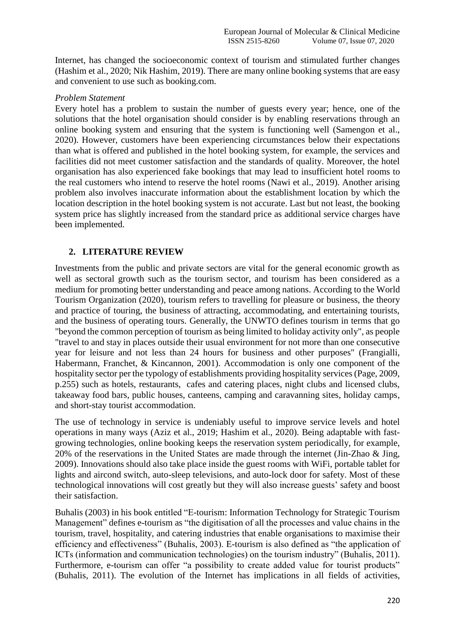Internet, has changed the socioeconomic context of tourism and stimulated further changes (Hashim et al., 2020; Nik Hashim, 2019). There are many online booking systems that are easy and convenient to use such as booking.com.

#### *Problem Statement*

Every hotel has a problem to sustain the number of guests every year; hence, one of the solutions that the hotel organisation should consider is by enabling reservations through an online booking system and ensuring that the system is functioning well (Samengon et al., 2020). However, customers have been experiencing circumstances below their expectations than what is offered and published in the hotel booking system, for example, the services and facilities did not meet customer satisfaction and the standards of quality. Moreover, the hotel organisation has also experienced fake bookings that may lead to insufficient hotel rooms to the real customers who intend to reserve the hotel rooms (Nawi et al., 2019). Another arising problem also involves inaccurate information about the establishment location by which the location description in the hotel booking system is not accurate. Last but not least, the booking system price has slightly increased from the standard price as additional service charges have been implemented.

### **2. LITERATURE REVIEW**

Investments from the public and private sectors are vital for the general economic growth as well as sectoral growth such as the tourism sector, and tourism has been considered as a medium for promoting better understanding and peace among nations. According to the World Tourism Organization (2020), tourism refers to travelling for pleasure or business, the theory and practice of touring, the business of attracting, accommodating, and entertaining tourists, and the business of operating tours. Generally, the UNWTO defines tourism in terms that go "beyond the common perception of tourism as being limited to holiday activity only", as people "travel to and stay in places outside their usual environment for not more than one consecutive year for leisure and not less than 24 hours for business and other purposes" (Frangialli, Habermann, Franchet, & Kincannon, 2001). Accommodation is only one component of the hospitality sector per the typology of establishments providing hospitality services (Page, 2009, p.255) such as hotels, restaurants, cafes and catering places, night clubs and licensed clubs, takeaway food bars, public houses, canteens, camping and caravanning sites, holiday camps, and short-stay tourist accommodation.

The use of technology in service is undeniably useful to improve service levels and hotel operations in many ways (Aziz et al., 2019; Hashim et al., 2020). Being adaptable with fastgrowing technologies, online booking keeps the reservation system periodically, for example, 20% of the reservations in the United States are made through the internet (Jin-Zhao & Jing, 2009). Innovations should also take place inside the guest rooms with WiFi, portable tablet for lights and aircond switch, auto-sleep televisions, and auto-lock door for safety. Most of these technological innovations will cost greatly but they will also increase guests' safety and boost their satisfaction.

Buhalis (2003) in his book entitled "E-tourism: Information Technology for Strategic Tourism Management" defines e-tourism as "the digitisation of all the processes and value chains in the tourism, travel, hospitality, and catering industries that enable organisations to maximise their efficiency and effectiveness" (Buhalis, 2003). E-tourism is also defined as "the application of ICTs (information and communication technologies) on the tourism industry" (Buhalis, 2011). Furthermore, e-tourism can offer "a possibility to create added value for tourist products" (Buhalis, 2011). The evolution of the Internet has implications in all fields of activities,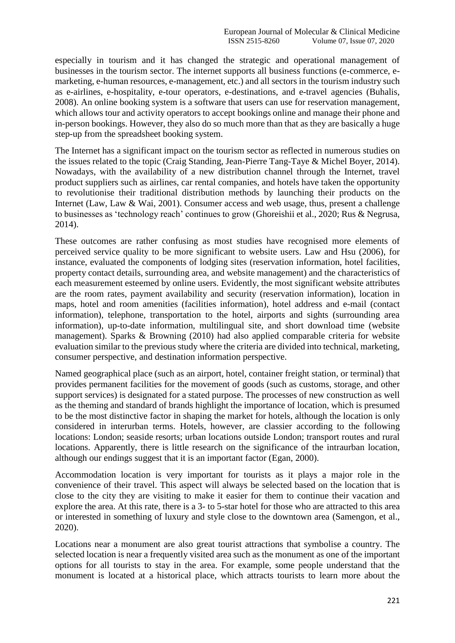especially in tourism and it has changed the strategic and operational management of businesses in the tourism sector. The internet supports all business functions (e-commerce, emarketing, e-human resources, e-management, etc.) and all sectors in the tourism industry such as e-airlines, e-hospitality, e-tour operators, e-destinations, and e-travel agencies (Buhalis, 2008). An online booking system is a software that users can use for reservation management, which allows tour and activity operators to accept bookings online and manage their phone and in-person bookings. However, they also do so much more than that as they are basically a huge step-up from the spreadsheet booking system.

The Internet has a significant impact on the tourism sector as reflected in numerous studies on the issues related to the topic (Craig Standing, Jean-Pierre Tang-Taye & Michel Boyer, 2014). Nowadays, with the availability of a new distribution channel through the Internet, travel product suppliers such as airlines, car rental companies, and hotels have taken the opportunity to revolutionise their traditional distribution methods by launching their products on the Internet (Law, Law & Wai, 2001). Consumer access and web usage, thus, present a challenge to businesses as 'technology reach' continues to grow (Ghoreishii et al., 2020; Rus & Negrusa, 2014).

These outcomes are rather confusing as most studies have recognised more elements of perceived service quality to be more significant to website users. Law and Hsu (2006), for instance, evaluated the components of lodging sites (reservation information, hotel facilities, property contact details, surrounding area, and website management) and the characteristics of each measurement esteemed by online users. Evidently, the most significant website attributes are the room rates, payment availability and security (reservation information), location in maps, hotel and room amenities (facilities information), hotel address and e-mail (contact information), telephone, transportation to the hotel, airports and sights (surrounding area information), up-to-date information, multilingual site, and short download time (website management). Sparks & Browning (2010) had also applied comparable criteria for website evaluation similar to the previous study where the criteria are divided into technical, marketing, consumer perspective, and destination information perspective.

Named geographical place (such as an airport, hotel, container freight station, or terminal) that provides permanent facilities for the movement of goods (such as customs, storage, and other support services) is designated for a stated purpose. The processes of new construction as well as the theming and standard of brands highlight the importance of location, which is presumed to be the most distinctive factor in shaping the market for hotels, although the location is only considered in interurban terms. Hotels, however, are classier according to the following locations: London; seaside resorts; urban locations outside London; transport routes and rural locations. Apparently, there is little research on the significance of the intraurban location, although our endings suggest that it is an important factor (Egan, 2000).

Accommodation location is very important for tourists as it plays a major role in the convenience of their travel. This aspect will always be selected based on the location that is close to the city they are visiting to make it easier for them to continue their vacation and explore the area. At this rate, there is a 3- to 5-star hotel for those who are attracted to this area or interested in something of luxury and style close to the downtown area (Samengon, et al., 2020).

Locations near a monument are also great tourist attractions that symbolise a country. The selected location is near a frequently visited area such as the monument as one of the important options for all tourists to stay in the area. For example, some people understand that the monument is located at a historical place, which attracts tourists to learn more about the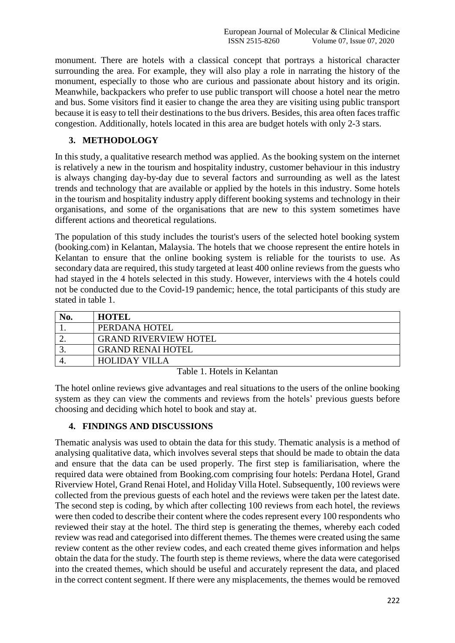monument. There are hotels with a classical concept that portrays a historical character surrounding the area. For example, they will also play a role in narrating the history of the monument, especially to those who are curious and passionate about history and its origin. Meanwhile, backpackers who prefer to use public transport will choose a hotel near the metro and bus. Some visitors find it easier to change the area they are visiting using public transport because it is easy to tell their destinations to the bus drivers. Besides, this area often faces traffic congestion. Additionally, hotels located in this area are budget hotels with only 2-3 stars.

## **3. METHODOLOGY**

In this study, a qualitative research method was applied. As the booking system on the internet is relatively a new in the tourism and hospitality industry, customer behaviour in this industry is always changing day-by-day due to several factors and surrounding as well as the latest trends and technology that are available or applied by the hotels in this industry. Some hotels in the tourism and hospitality industry apply different booking systems and technology in their organisations, and some of the organisations that are new to this system sometimes have different actions and theoretical regulations.

The population of this study includes the tourist's users of the selected hotel booking system (booking.com) in Kelantan, Malaysia. The hotels that we choose represent the entire hotels in Kelantan to ensure that the online booking system is reliable for the tourists to use. As secondary data are required, this study targeted at least 400 online reviews from the guests who had stayed in the 4 hotels selected in this study. However, interviews with the 4 hotels could not be conducted due to the Covid-19 pandemic; hence, the total participants of this study are stated in table 1.

| <b>HOTEL</b>                 |
|------------------------------|
| PERDANA HOTEL                |
| <b>GRAND RIVERVIEW HOTEL</b> |
| <b>GRAND RENAI HOTEL</b>     |
| <b>HOLIDAY VILLA</b>         |

Table 1. Hotels in Kelantan

The hotel online reviews give advantages and real situations to the users of the online booking system as they can view the comments and reviews from the hotels' previous guests before choosing and deciding which hotel to book and stay at.

## **4. FINDINGS AND DISCUSSIONS**

Thematic analysis was used to obtain the data for this study. Thematic analysis is a method of analysing qualitative data, which involves several steps that should be made to obtain the data and ensure that the data can be used properly. The first step is familiarisation, where the required data were obtained from Booking.com comprising four hotels: Perdana Hotel, Grand Riverview Hotel, Grand Renai Hotel, and Holiday Villa Hotel. Subsequently, 100 reviews were collected from the previous guests of each hotel and the reviews were taken per the latest date. The second step is coding, by which after collecting 100 reviews from each hotel, the reviews were then coded to describe their content where the codes represent every 100 respondents who reviewed their stay at the hotel. The third step is generating the themes, whereby each coded review was read and categorised into different themes. The themes were created using the same review content as the other review codes, and each created theme gives information and helps obtain the data for the study. The fourth step is theme reviews, where the data were categorised into the created themes, which should be useful and accurately represent the data, and placed in the correct content segment. If there were any misplacements, the themes would be removed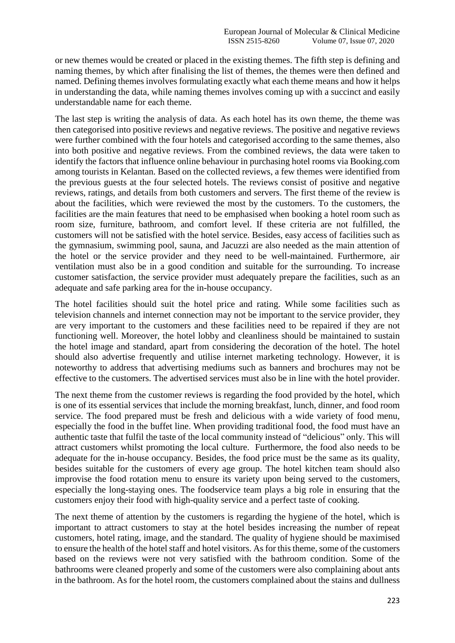or new themes would be created or placed in the existing themes. The fifth step is defining and naming themes, by which after finalising the list of themes, the themes were then defined and named. Defining themes involves formulating exactly what each theme means and how it helps in understanding the data, while naming themes involves coming up with a succinct and easily understandable name for each theme.

The last step is writing the analysis of data. As each hotel has its own theme, the theme was then categorised into positive reviews and negative reviews. The positive and negative reviews were further combined with the four hotels and categorised according to the same themes, also into both positive and negative reviews. From the combined reviews, the data were taken to identify the factors that influence online behaviour in purchasing hotel rooms via Booking.com among tourists in Kelantan. Based on the collected reviews, a few themes were identified from the previous guests at the four selected hotels. The reviews consist of positive and negative reviews, ratings, and details from both customers and servers. The first theme of the review is about the facilities, which were reviewed the most by the customers. To the customers, the facilities are the main features that need to be emphasised when booking a hotel room such as room size, furniture, bathroom, and comfort level. If these criteria are not fulfilled, the customers will not be satisfied with the hotel service. Besides, easy access of facilities such as the gymnasium, swimming pool, sauna, and Jacuzzi are also needed as the main attention of the hotel or the service provider and they need to be well-maintained. Furthermore, air ventilation must also be in a good condition and suitable for the surrounding. To increase customer satisfaction, the service provider must adequately prepare the facilities, such as an adequate and safe parking area for the in-house occupancy.

The hotel facilities should suit the hotel price and rating. While some facilities such as television channels and internet connection may not be important to the service provider, they are very important to the customers and these facilities need to be repaired if they are not functioning well. Moreover, the hotel lobby and cleanliness should be maintained to sustain the hotel image and standard, apart from considering the decoration of the hotel. The hotel should also advertise frequently and utilise internet marketing technology. However, it is noteworthy to address that advertising mediums such as banners and brochures may not be effective to the customers. The advertised services must also be in line with the hotel provider.

The next theme from the customer reviews is regarding the food provided by the hotel, which is one of its essential services that include the morning breakfast, lunch, dinner, and food room service. The food prepared must be fresh and delicious with a wide variety of food menu, especially the food in the buffet line. When providing traditional food, the food must have an authentic taste that fulfil the taste of the local community instead of "delicious" only. This will attract customers whilst promoting the local culture. Furthermore, the food also needs to be adequate for the in-house occupancy. Besides, the food price must be the same as its quality, besides suitable for the customers of every age group. The hotel kitchen team should also improvise the food rotation menu to ensure its variety upon being served to the customers, especially the long-staying ones. The foodservice team plays a big role in ensuring that the customers enjoy their food with high-quality service and a perfect taste of cooking.

The next theme of attention by the customers is regarding the hygiene of the hotel, which is important to attract customers to stay at the hotel besides increasing the number of repeat customers, hotel rating, image, and the standard. The quality of hygiene should be maximised to ensure the health of the hotel staff and hotel visitors. As for this theme, some of the customers based on the reviews were not very satisfied with the bathroom condition. Some of the bathrooms were cleaned properly and some of the customers were also complaining about ants in the bathroom. As for the hotel room, the customers complained about the stains and dullness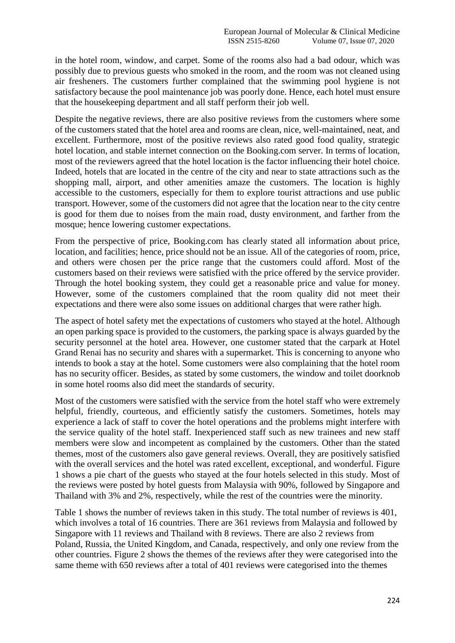in the hotel room, window, and carpet. Some of the rooms also had a bad odour, which was possibly due to previous guests who smoked in the room, and the room was not cleaned using air fresheners. The customers further complained that the swimming pool hygiene is not satisfactory because the pool maintenance job was poorly done. Hence, each hotel must ensure that the housekeeping department and all staff perform their job well.

Despite the negative reviews, there are also positive reviews from the customers where some of the customers stated that the hotel area and rooms are clean, nice, well-maintained, neat, and excellent. Furthermore, most of the positive reviews also rated good food quality, strategic hotel location, and stable internet connection on the Booking.com server. In terms of location, most of the reviewers agreed that the hotel location is the factor influencing their hotel choice. Indeed, hotels that are located in the centre of the city and near to state attractions such as the shopping mall, airport, and other amenities amaze the customers. The location is highly accessible to the customers, especially for them to explore tourist attractions and use public transport. However, some of the customers did not agree that the location near to the city centre is good for them due to noises from the main road, dusty environment, and farther from the mosque; hence lowering customer expectations.

From the perspective of price, Booking.com has clearly stated all information about price, location, and facilities; hence, price should not be an issue. All of the categories of room, price, and others were chosen per the price range that the customers could afford. Most of the customers based on their reviews were satisfied with the price offered by the service provider. Through the hotel booking system, they could get a reasonable price and value for money. However, some of the customers complained that the room quality did not meet their expectations and there were also some issues on additional charges that were rather high.

The aspect of hotel safety met the expectations of customers who stayed at the hotel. Although an open parking space is provided to the customers, the parking space is always guarded by the security personnel at the hotel area. However, one customer stated that the carpark at Hotel Grand Renai has no security and shares with a supermarket. This is concerning to anyone who intends to book a stay at the hotel. Some customers were also complaining that the hotel room has no security officer. Besides, as stated by some customers, the window and toilet doorknob in some hotel rooms also did meet the standards of security.

Most of the customers were satisfied with the service from the hotel staff who were extremely helpful, friendly, courteous, and efficiently satisfy the customers. Sometimes, hotels may experience a lack of staff to cover the hotel operations and the problems might interfere with the service quality of the hotel staff. Inexperienced staff such as new trainees and new staff members were slow and incompetent as complained by the customers. Other than the stated themes, most of the customers also gave general reviews. Overall, they are positively satisfied with the overall services and the hotel was rated excellent, exceptional, and wonderful. Figure 1 shows a pie chart of the guests who stayed at the four hotels selected in this study. Most of the reviews were posted by hotel guests from Malaysia with 90%, followed by Singapore and Thailand with 3% and 2%, respectively, while the rest of the countries were the minority.

Table 1 shows the number of reviews taken in this study. The total number of reviews is 401, which involves a total of 16 countries. There are 361 reviews from Malaysia and followed by Singapore with 11 reviews and Thailand with 8 reviews. There are also 2 reviews from Poland, Russia, the United Kingdom, and Canada, respectively, and only one review from the other countries. Figure 2 shows the themes of the reviews after they were categorised into the same theme with 650 reviews after a total of 401 reviews were categorised into the themes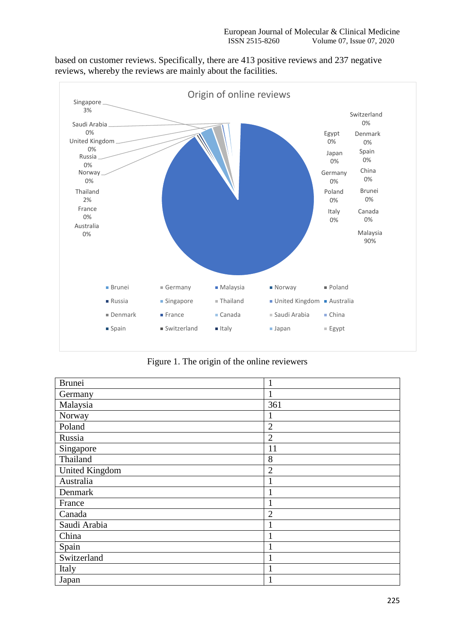based on customer reviews. Specifically, there are 413 positive reviews and 237 negative reviews, whereby the reviews are mainly about the facilities.



Figure 1. The origin of the online reviewers

| <b>Brunei</b>         | 1              |
|-----------------------|----------------|
| Germany               | 1              |
| Malaysia              | 361            |
| Norway                | 1              |
| Poland                | $\overline{2}$ |
| Russia                | $\overline{2}$ |
| Singapore             | 11             |
| Thailand              | 8              |
| <b>United Kingdom</b> | $\overline{2}$ |
| Australia             | $\mathbf{1}$   |
| Denmark               | $\mathbf{1}$   |
| France                | 1              |
| Canada                | $\overline{2}$ |
| Saudi Arabia          | $\mathbf{1}$   |
| China                 | $\mathbf{1}$   |
| Spain                 | $\mathbf{1}$   |
| Switzerland           | 1              |
| Italy                 | $\mathbf{1}$   |
| Japan                 | 1              |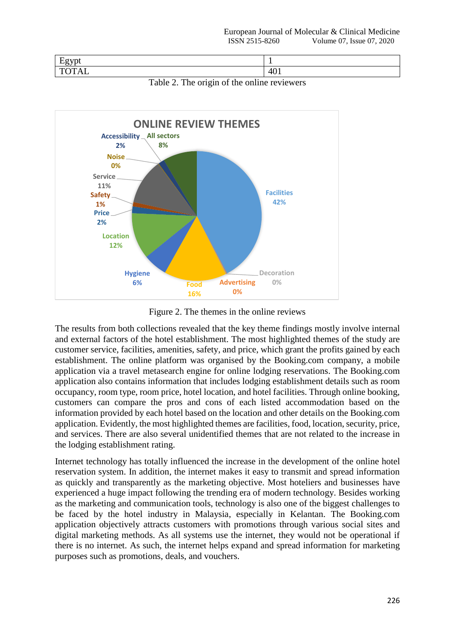| $\blacksquare$<br>-----<br>$\tilde{\phantom{a}}$ |        |
|--------------------------------------------------|--------|
| -<br>,,,<br>_<br>11 A.D<br>∼                     | $-401$ |



Table 2. The origin of the online reviewers

Figure 2. The themes in the online reviews

The results from both collections revealed that the key theme findings mostly involve internal and external factors of the hotel establishment. The most highlighted themes of the study are customer service, facilities, amenities, safety, and price, which grant the profits gained by each establishment. The online platform was organised by the Booking.com company, a mobile application via a travel metasearch engine for online lodging reservations. The Booking.com application also contains information that includes lodging establishment details such as room occupancy, room type, room price, hotel location, and hotel facilities. Through online booking, customers can compare the pros and cons of each listed accommodation based on the information provided by each hotel based on the location and other details on the Booking.com application. Evidently, the most highlighted themes are facilities, food, location, security, price, and services. There are also several unidentified themes that are not related to the increase in the lodging establishment rating.

Internet technology has totally influenced the increase in the development of the online hotel reservation system. In addition, the internet makes it easy to transmit and spread information as quickly and transparently as the marketing objective. Most hoteliers and businesses have experienced a huge impact following the trending era of modern technology. Besides working as the marketing and communication tools, technology is also one of the biggest challenges to be faced by the hotel industry in Malaysia, especially in Kelantan. The Booking.com application objectively attracts customers with promotions through various social sites and digital marketing methods. As all systems use the internet, they would not be operational if there is no internet. As such, the internet helps expand and spread information for marketing purposes such as promotions, deals, and vouchers.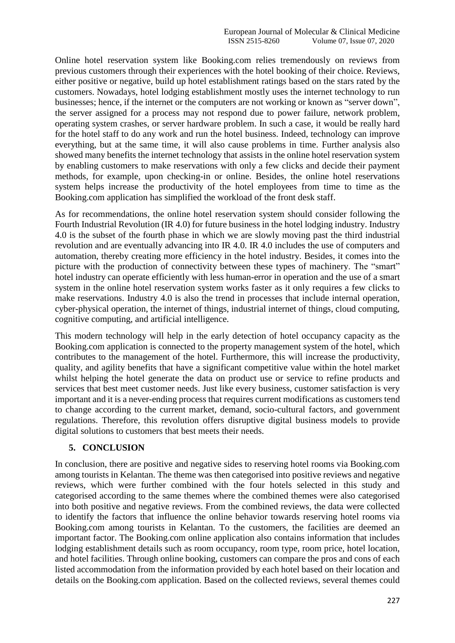Online hotel reservation system like Booking.com relies tremendously on reviews from previous customers through their experiences with the hotel booking of their choice. Reviews, either positive or negative, build up hotel establishment ratings based on the stars rated by the customers. Nowadays, hotel lodging establishment mostly uses the internet technology to run businesses; hence, if the internet or the computers are not working or known as "server down", the server assigned for a process may not respond due to power failure, network problem, operating system crashes, or server hardware problem. In such a case, it would be really hard for the hotel staff to do any work and run the hotel business. Indeed, technology can improve everything, but at the same time, it will also cause problems in time. Further analysis also showed many benefits the internet technology that assists in the online hotel reservation system by enabling customers to make reservations with only a few clicks and decide their payment methods, for example, upon checking-in or online. Besides, the online hotel reservations system helps increase the productivity of the hotel employees from time to time as the Booking.com application has simplified the workload of the front desk staff.

As for recommendations, the online hotel reservation system should consider following the Fourth Industrial Revolution (IR 4.0) for future business in the hotel lodging industry. Industry 4.0 is the subset of the fourth phase in which we are slowly moving past the third industrial revolution and are eventually advancing into IR 4.0. IR 4.0 includes the use of computers and automation, thereby creating more efficiency in the hotel industry. Besides, it comes into the picture with the production of connectivity between these types of machinery. The "smart" hotel industry can operate efficiently with less human-error in operation and the use of a smart system in the online hotel reservation system works faster as it only requires a few clicks to make reservations. Industry 4.0 is also the trend in processes that include internal operation, cyber-physical operation, the internet of things, industrial internet of things, cloud computing, cognitive computing, and artificial intelligence.

This modern technology will help in the early detection of hotel occupancy capacity as the Booking.com application is connected to the property management system of the hotel, which contributes to the management of the hotel. Furthermore, this will increase the productivity, quality, and agility benefits that have a significant competitive value within the hotel market whilst helping the hotel generate the data on product use or service to refine products and services that best meet customer needs. Just like every business, customer satisfaction is very important and it is a never-ending process that requires current modifications as customers tend to change according to the current market, demand, socio-cultural factors, and government regulations. Therefore, this revolution offers disruptive digital business models to provide digital solutions to customers that best meets their needs.

## **5. CONCLUSION**

In conclusion, there are positive and negative sides to reserving hotel rooms via Booking.com among tourists in Kelantan. The theme was then categorised into positive reviews and negative reviews, which were further combined with the four hotels selected in this study and categorised according to the same themes where the combined themes were also categorised into both positive and negative reviews. From the combined reviews, the data were collected to identify the factors that influence the online behavior towards reserving hotel rooms via Booking.com among tourists in Kelantan. To the customers, the facilities are deemed an important factor. The Booking.com online application also contains information that includes lodging establishment details such as room occupancy, room type, room price, hotel location, and hotel facilities. Through online booking, customers can compare the pros and cons of each listed accommodation from the information provided by each hotel based on their location and details on the Booking.com application. Based on the collected reviews, several themes could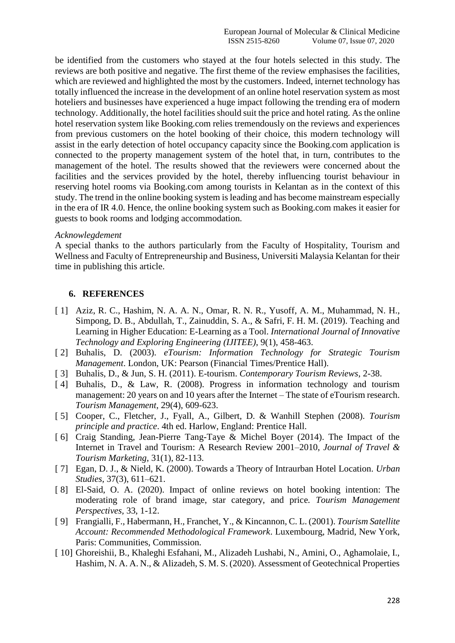be identified from the customers who stayed at the four hotels selected in this study. The reviews are both positive and negative. The first theme of the review emphasises the facilities, which are reviewed and highlighted the most by the customers. Indeed, internet technology has totally influenced the increase in the development of an online hotel reservation system as most hoteliers and businesses have experienced a huge impact following the trending era of modern technology. Additionally, the hotel facilities should suit the price and hotel rating. As the online hotel reservation system like Booking.com relies tremendously on the reviews and experiences from previous customers on the hotel booking of their choice, this modern technology will assist in the early detection of hotel occupancy capacity since the Booking.com application is connected to the property management system of the hotel that, in turn, contributes to the management of the hotel. The results showed that the reviewers were concerned about the facilities and the services provided by the hotel, thereby influencing tourist behaviour in reserving hotel rooms via Booking.com among tourists in Kelantan as in the context of this study. The trend in the online booking system is leading and has become mainstream especially in the era of IR 4.0. Hence, the online booking system such as Booking.com makes it easier for guests to book rooms and lodging accommodation.

#### *Acknowlegdement*

A special thanks to the authors particularly from the Faculty of Hospitality, Tourism and Wellness and Faculty of Entrepreneurship and Business, Universiti Malaysia Kelantan for their time in publishing this article.

## **6. REFERENCES**

- [ 1] Aziz, R. C., Hashim, N. A. A. N., Omar, R. N. R., Yusoff, A. M., Muhammad, N. H., Simpong, D. B., Abdullah, T., Zainuddin, S. A., & Safri, F. H. M. (2019). Teaching and Learning in Higher Education: E-Learning as a Tool. *International Journal of Innovative Technology and Exploring Engineering (IJITEE)*, 9(1), 458-463.
- [ 2] Buhalis, D. (2003). *eTourism: Information Technology for Strategic Tourism Management*. London, UK: Pearson (Financial Times/Prentice Hall).
- [ 3] Buhalis, D., & Jun, S. H. (2011). E-tourism. *Contemporary Tourism Reviews*, 2-38.
- [4] Buhalis, D., & Law, R. (2008). Progress in information technology and tourism management: 20 years on and 10 years after the Internet – The state of eTourism research. *Tourism Management*, 29(4), 609-623.
- [ 5] Cooper, C., Fletcher, J., Fyall, A., Gilbert, D. & Wanhill Stephen (2008). *Tourism principle and practice*. 4th ed. Harlow, England: Prentice Hall.
- [ 6] Craig Standing, Jean-Pierre Tang-Taye & Michel Boyer (2014). The Impact of the Internet in Travel and Tourism: A Research Review 2001–2010, *Journal of Travel & Tourism Marketing*, 31(1), 82-113.
- [ 7] Egan, D. J., & Nield, K. (2000). Towards a Theory of Intraurban Hotel Location. *Urban Studies,* 37(3), 611–621.
- [ 8] El-Said, O. A. (2020). Impact of online reviews on hotel booking intention: The moderating role of brand image, star category, and price*. Tourism Management Perspectives,* 33, 1-12.
- [ 9] Frangialli, F., Habermann, H., Franchet, Y., & Kincannon, C. L. (2001). *Tourism Satellite Account: Recommended Methodological Framework*. Luxembourg, Madrid, New York, Paris: Communities, Commission.
- [ 10] Ghoreishii, B., Khaleghi Esfahani, M., Alizadeh Lushabi, N., Amini, O., Aghamolaie, I., Hashim, N. A. A. N., & Alizadeh, S. M. S. (2020). Assessment of Geotechnical Properties